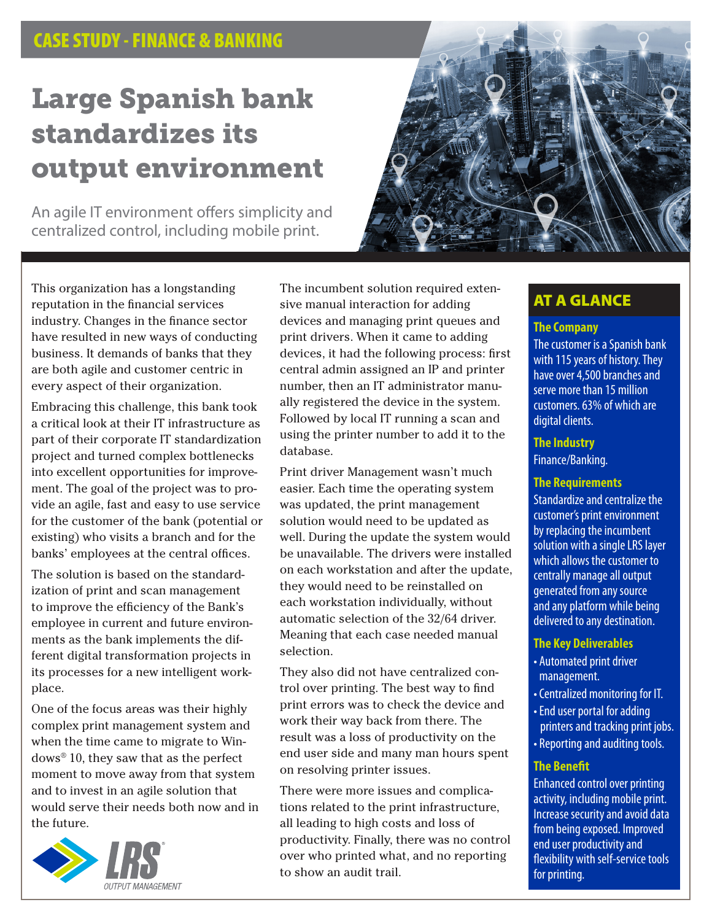## CASE STUDY - FINANCE & BANKING

# Large Spanish bank standardizes its output environment

An agile IT environment offers simplicity and centralized control, including mobile print.



This organization has a longstanding reputation in the financial services industry. Changes in the finance sector have resulted in new ways of conducting business. It demands of banks that they are both agile and customer centric in every aspect of their organization.

Embracing this challenge, this bank took a critical look at their IT infrastructure as part of their corporate IT standardization project and turned complex bottlenecks into excellent opportunities for improvement. The goal of the project was to provide an agile, fast and easy to use service for the customer of the bank (potential or existing) who visits a branch and for the banks' employees at the central offices.

The solution is based on the standardization of print and scan management to improve the efficiency of the Bank's employee in current and future environments as the bank implements the different digital transformation projects in its processes for a new intelligent workplace.

One of the focus areas was their highly complex print management system and when the time came to migrate to Windows® 10, they saw that as the perfect moment to move away from that system and to invest in an agile solution that would serve their needs both now and in the future.



The incumbent solution required extensive manual interaction for adding devices and managing print queues and print drivers. When it came to adding devices, it had the following process: first central admin assigned an IP and printer number, then an IT administrator manually registered the device in the system. Followed by local IT running a scan and using the printer number to add it to the database.

Print driver Management wasn't much easier. Each time the operating system was updated, the print management solution would need to be updated as well. During the update the system would be unavailable. The drivers were installed on each workstation and after the update, they would need to be reinstalled on each workstation individually, without automatic selection of the 32/64 driver. Meaning that each case needed manual selection.

They also did not have centralized control over printing. The best way to find print errors was to check the device and work their way back from there. The result was a loss of productivity on the end user side and many man hours spent on resolving printer issues.

There were more issues and complications related to the print infrastructure, all leading to high costs and loss of productivity. Finally, there was no control over who printed what, and no reporting to show an audit trail.

## AT A GLANCE

## **The Company**

The customer is a Spanish bank with 115 years of history. They have over 4,500 branches and serve more than 15 million customers. 63% of which are digital clients.

#### **The Industry**

Finance/Banking.

#### **The Requirements**

Standardize and centralize the customer's print environment by replacing the incumbent solution with a single LRS layer which allows the customer to centrally manage all output generated from any source and any platform while being delivered to any destination.

#### **The Key Deliverables**

- Automated print driver management.
- Centralized monitoring for IT.
- End user portal for adding printers and tracking print jobs.
- Reporting and auditing tools.

### **The Benefit**

Enhanced control over printing activity, including mobile print. Increase security and avoid data from being exposed. Improved end user productivity and flexibility with self-service tools for printing.